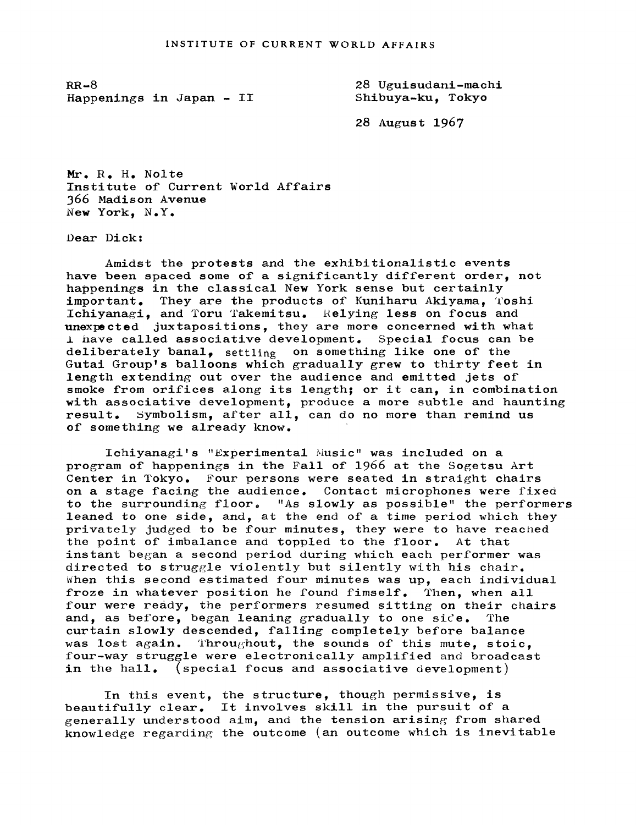RR-8 Happenings in japan- II

28 Uguisudani-machi Shibuya-ku, Tokyo

28 August 1967

Mr. R. H. Nolte Institute of Current World Affairs 366 Madison Avenue New York, N.Y.

Dear Dick:

Amidst the protests and the exhibitionalistic events have been spaced some of a significantly different order, not happenings in the classical New York sense but certainly important. They are the products of Kuniharu Akiyama, Toshi Ichiyanagi, and Toru Takemitsu. Relying less on focus and unexpected juxtapositions, they are more concerned with what  $\perp$  have called associative development. Special focus can be deliberately banal, settling on something like one of the Gutai Group's balloons which gradually grew to thirty feet in length extending out over the audience and emitted jets of smoke from orifices along its length; or it can, in combination with associative development, produce a more subtle and haunting result. Symbolism, after all, can do no more than remind us of some thing we already know.

Ichiyanagi's "Experimental Music" was included on a program of happenings in the Fall of 1966 at the Sogetsu Art Center in Tokyo. Four persons were seated in straight chairs on a stage facing the audience. Contact microphones were fixed to the surrounding floor. "As slowly as possible" the performers leaned to one side, and, at the end of a time period which they privately judged to be four minutes, they were to have reached the point of imbalance and toppled to the floor. At that instant began a second period during which each performer was directed to struggle violently but silently with his chair. When this second estimated four minutes was up, each individual froze in whatever position he found fimself. Then, when all four were ready, the performers resumed sitting on their chairs and, as before, began leaning gradually to one side. The curtain slowly descended, falling completely before balance was lost again. Throughout, the sounds of this mute, stoic, four-way struggle were electronically amplified and broadcast in the hall. (special focus and associative development)

In this event, the structure, though permissive, is beautifully clear. It involves skill in the pursuit of a generally understood aim, and the tension arising from shared knowledge regarding the outcome (an outcome which is inevitable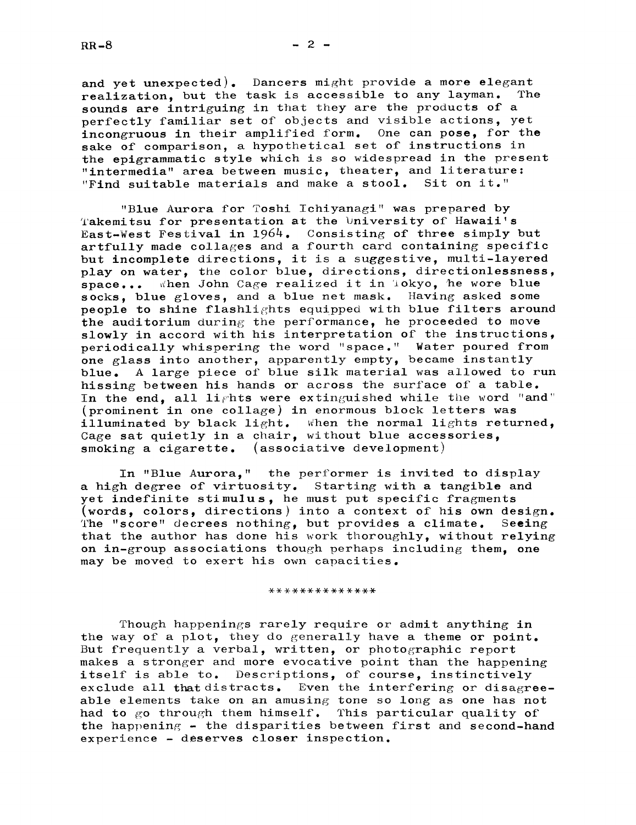and yet unexpected). Dancers might provide a more elegant<br>realization, but the task is accessible to any layman. The realization, but the task is accessible to any layman. sounds are intriguing in that they are the products of a perfectly familiar set of objects and visible actions, yet incongruous in their amplified form. One can pose, for the sake of comparison, a hypothetical set of instructions in the epigrammatic style which is so widespread in the present "intermedia" area between music, theater, and literature: "Find suitable materials and make a stool. Sit on it."

"Blue Aurora for Toshi Ichiyanagi" was prepared by Takemitsu for presentation at the University of Hawaii's East-West Festival in 1964. Consisting of three simply but artfully made collages and a fourth card containing specific but incomplete directions, it is a suggestive, multi-layered play on water, the color blue, directions, directionlessness, space... when John Cage realized it in Tokyo, he wore blue when John Cage realized it in Tokyo, he wore blue socks, blue gloves, and a blue net mask. Having asked some people to shine flashlights equipped with blue filters around the auditorium during the performance, he proceeded to move slowly in accord with his interpretation of the instructions, periodically whispering the word "space." Water poured from one glass into another, apparently empty, became instantly blue. A large piece of blue silk material was allowed to run hissing between his hands or across the surface of a table. In the end, all lights were extinguished while the word "and" (prominent in one collage) in enormous block letters was illuminated by black light. When the normal lights returned, Cage sat quietly in a chair, without blue accessories, smoking a cigarette. (associative development)

In "Blue Aurora," the performer is invited to display a high degree of virtuosity. Starting with a tangible and yet indefinite stimulus, he must put specific fragments (words, colors, directions) into a context of his own design. The "score" decrees nothing, but provides a climate. Seeing that the author has done his work thoroughly, without relying on in-group associations though perhaps including them, one may be moved to exert his own capacities.

## \*\*\*\*\*\*\*\*\*\*\*\*\*\*

Though happenings rarely require or admit anything in the way of a plot, they do generally have a theme or point. But frequently a verbal, written, or photographic report makes a stronger and more evocative point than the happening itself is able to. Descriptions, of course, instinctively exclude all that distracts. Even the interfering or disagreeable elements take on an amusing tone so long as one has not had to go through them himself. This particular quality of the happening - the disparities between first and second-hand experience deserves closer inspection.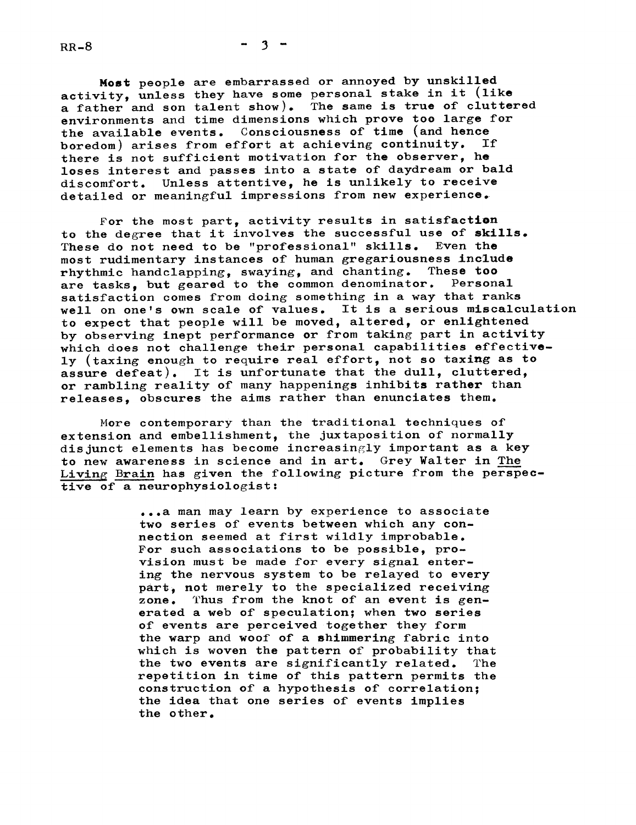$-3 -$ 

Most people are embarrassed or annoyed by unskilled activity, unless they have some personal stake in it (like a father and son talent show). The same is true of cluttered environments and time dimensions which prove too large for the available events. Consciousness of time (and hence<br>boredom) arises from effort at achieving continuity. If boredom) arises from effort at achieving continuity. there is not sufficient motivation for the observer. he loses interest and passes into a state of daydream or bald discomfort. Unless attentive, he is unlikely to receive detailed or meaningful impressions from new experience.

For the most part, activity results in satisfaction to the degree that it involves the successful use of skills. These do not need to be "professional" skills. Even the most rudimentary instances of human gregariousness include<br>rhythmic handclanning, swaving, and chanting. These too rhythmic handclapping, swaying, and chanting. are tasks, but geared to the common denominator. Personal satisfaction comes from doing something in a way that ranks well on one's own scale of values. It is a serious miscalculation to expect that people will be moved, altered, or enlightened by observing inept performance or from taking part in activity which does not challenge their personal capabilities effectively (taxing enough to require real effort, not so taxing as to assure defeat). It is unfortunate that the dull, cluttered, or rambling reality of many happenings inhibits rather than releases obscures the aims rather than enunciates them.

More contemporary than the traditional techniques of extension and embellishment, the juxtaposition of normally dis junct elements has become increasingly important as a key to new awareness in science and in art. Grey Walter in The Living Brain has given the following picture from the perspective of a neurophysiologist:

> ...a man may learn by experience to associate two series of events between which any connection seemed at first wildly improbable. For such associations to be possible, provision must be made for every signal entering the nervous system to be relayed to every part, not merely to the specialized receiving zone. Thus from the knot of an event is generated a web of speculation; when two series of events are perceived.together they form the warp and woof of a shimmering fabric into which is woven the pattern of probability that the two events are significantly related. The repetition in time of this pattern permits the construction of a hypothesis of correlation; the idea that one series of events implies the other.

 $RR-8$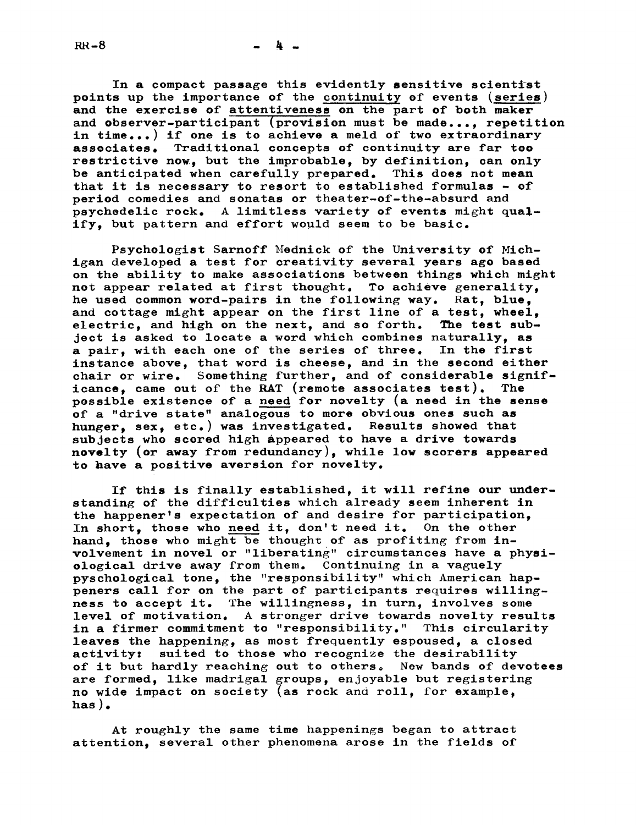$RR-8$ 

4.

In a compact passage this evidently sensitive scientist points up the importance of the continuity of events (series) and the exercise of attentiveness on the part of both maker and observer-participant (provision must be made..., repetition in time...) if one is to achieve a meld of two extraordinary associates. Traditional concepts of continuity are far too restrictive now, but the improbable, by definition, can only be anticipated when carefully prepared. This does not mean that it is necessary to resort to established formulas  $-$  of period comedies and sonatas or theater-of-the-absurd and psychedelic rock. A limitless variety of events might qualify, but pattern and effort would seem to be basic.

Psychologist Sarnoff lednick of the University of Michigan developed a test for creativity several years ago based on the ability to make associations between things which might not appear related at first thought. To achieve generality, he used common word-pairs in the following way. Rat, blue, and cottage might appear on the first line of a test, wheel,<br>electric, and high on the next, and so forth. The test subelectric, and high on the next, and so forth. ject is asked to locate a word which combines naturally, as a pair, with each one of the series of three. In the first instance above, that word is cheese, and in the second either chair or wire. Something further, and of considerable significance, came out of the RAT (remote associates test). The possible existence of a need for novelty (a need in the sense of a "drive state" analogous to more obvious ones such as hunger, sex, etc.) was investigated. Results showed that subjects who scored high appeared to have a drive towards novelty (or away from redundancy), while low scorers appeared to have a positive aversion for novelty.

If this is finally established, it will refine our understanding of the difficulties which already seem inherent in the happener's expectation of and desire for participation In short, those who need it, don't need it. On the other hand, those who might be thought of as profiting from involvement in novel or "liberating" circumstances have a physiological drive away from them. Continuing in a vaguely pyschological tone, the "responsibility" which American happeners call for on the part of participants requires willingness to accept it. The willingness, in turn, involves some level of motivation. A stronger drive towards novelty results in a firmer commitment to "responsibility." This circularity leaves the happening, as most frequently espoused, a closed activity: suited to those who recognize the desirability of it but hardly reaching out to others. New bands of devotees are formed, like madrigal groups, enjoyable but registering no wide impact on society (as rock and roll, for example, has ).

At roughly the same time happenings began to attract attention, several other phenomena arose in the fields of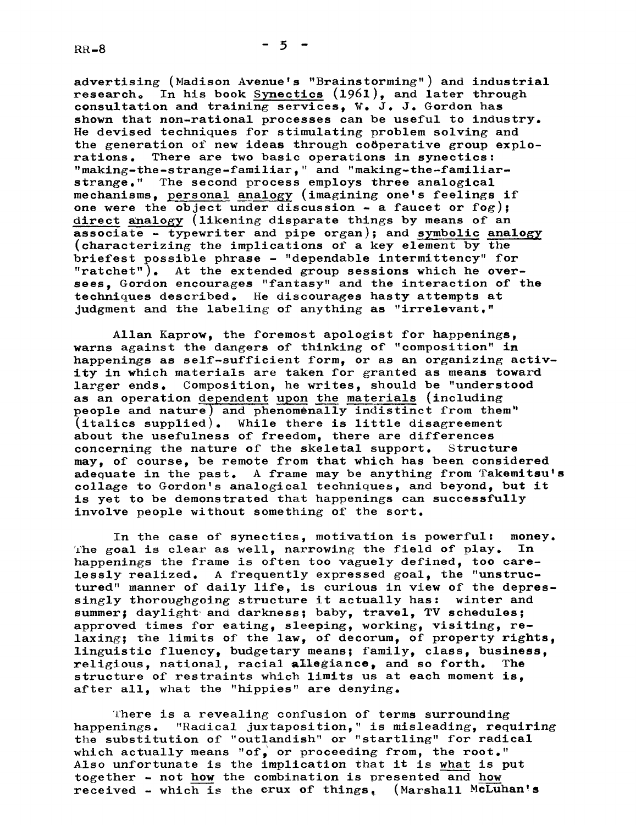advertising (Madison Avenue's "Brainstorming") and industrial research. In his book Synectics  $(1961)$ , and later through consultation and training services,  $W_$ . J. Gordon has shown that non-rational processes can be useful to industry. He devised techniques for stimulating problem solving and the generation of new ideas through co6perative group explorations. There are two basic operations in synectics: "making-the-strange-familiar," and "making-the-familiarstrange, " The second process employs three analogical mechanisms personal analogy (imagining one's feelings if one were the object under discussion  $-$  a faucet or fog); direct analogy (likening disparate things by means of an associate - typewriter and pipe organ); and symbolic analogy (characterizing the implications of a key element by the briefest possible phrase - "dependable intermittency" for "ratchet"). At the extended group sessions which he oversees, Gordon encourages "fantasy" and the interaction of the techniques described, He discourages hasty attempts at judgment and the labeling of anything as "irrelevant."

Allan Kaprow, the foremost apologist for happenings, warns against the dangers of thinking of "composition" in happenings as self-sufficient form, or as an organizing activity in which materials are taken for granted as means toward larger ends. Composition, he writes, should be "understood as an operation dependent upon the materials (including people and nature) and phenomenally indistinct from them" (italics supplied). While there is little disagreement about the usefulness of freedom, there are differences concerning the nature of the skeletal support. Structure may, of course, be remote from that which has been considered adequate in the past. A frame may be anything from Takemitsu's collage to Gordon's analogical techniques, and beyond, but it is yet to be demonstrated that happenings can successfully involve people without something of the sort.

In the case of synectics, motivation is powerful: money. The goal is clear as well, narrowing the field of play. In happenings the frame is often too vaguely defined, too carelessly realized. A frequently expressed goal, the "unstructured" manner of daily life, is curious in view of the depressingly thoroughgoing structure it actually has: winter and summer; daylight and darkness; baby, travel, TV schedules; approved times for eating, sleeping, working, visiting, relaxing; the limits of the law, of decorum, of property rights, linguistic fluency, budgetary means; family, class, business, religious, national, racial allegiance, and so forth. The structure of restraints which limits us at each moment is, after all, what the "hippies" are denying.

l'here is a revealing confusion of terms surrounding happenings. "Radical juxtaposition, " is misleading, requiring the substitution of "outlandish" or "startling" for radical which actually means "of, or proceeding from, the root." Also unfortunate is the implication that it is what is put together - not how the combination is presented and how received - which is the crux of things.  $(Marshall McLuhan's)$